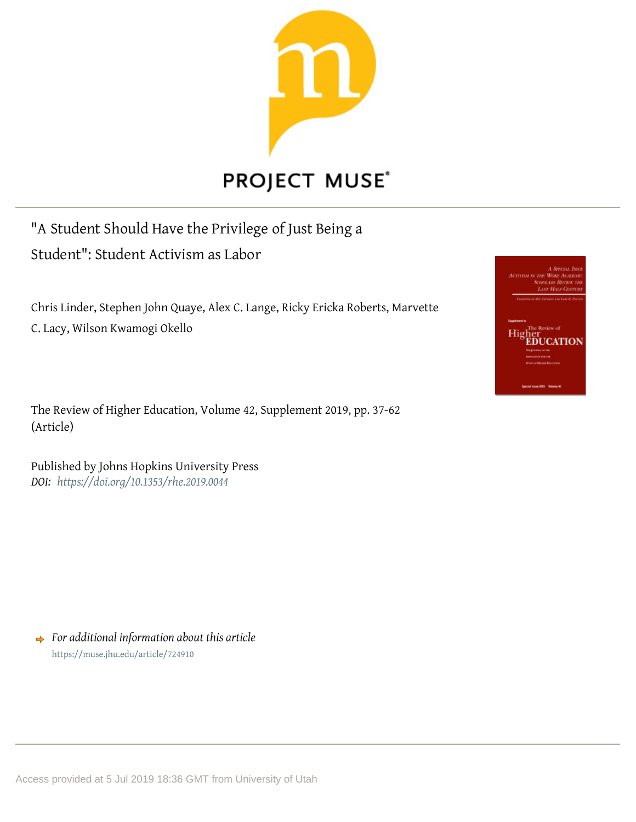

# "A Student Should Have the Privilege of Just Being a Student": Student Activism as Labor

Chris Linder, Stephen John Quaye, Alex C. Lange, Ricky Ericka Roberts, Marvette C. Lacy, Wilson Kwamogi Okello

The Review of Higher Education, Volume 42, Supplement 2019, pp. 37-62 (Article)

Published by Johns Hopkins University Press *DOI: <https://doi.org/10.1353/rhe.2019.0044>*

*For additional information about this article* <https://muse.jhu.edu/article/724910>

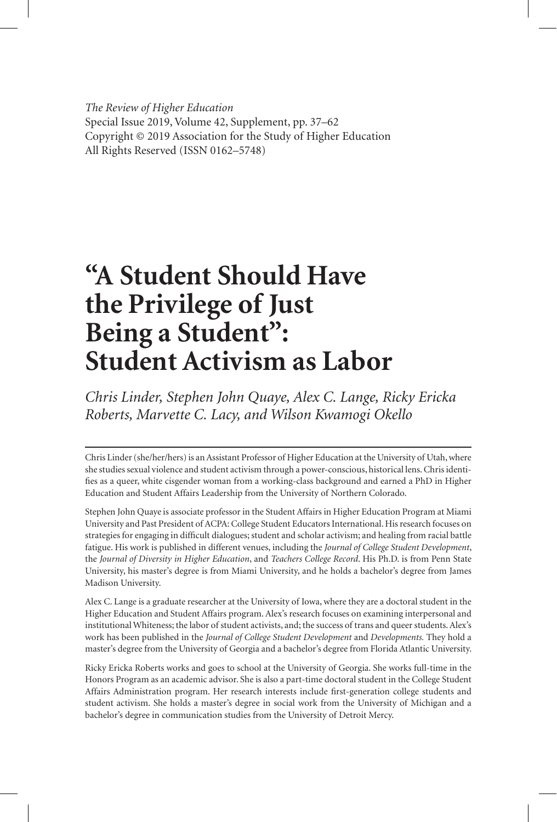*The Review of Higher Education* Special Issue 2019, Volume 42, Supplement, pp. 37–62 Copyright © 2019 Association for the Study of Higher Education All Rights Reserved (ISSN 0162–5748)

# **"A Student Should Have the Privilege of Just Being a Student": Student Activism as Labor**

*Chris Linder, Stephen John Quaye, Alex C. Lange, Ricky Ericka Roberts, Marvette C. Lacy, and Wilson Kwamogi Okello*

Chris Linder (she/her/hers) is an Assistant Professor of Higher Education at the University of Utah, where she studies sexual violence and student activism through a power-conscious, historical lens. Chris identifies as a queer, white cisgender woman from a working-class background and earned a PhD in Higher Education and Student Affairs Leadership from the University of Northern Colorado.

Stephen John Quaye is associate professor in the Student Affairs in Higher Education Program at Miami University and Past President of ACPA: College Student Educators International. His research focuses on strategies for engaging in difficult dialogues; student and scholar activism; and healing from racial battle fatigue. His work is published in different venues, including the *Journal of College Student Development*, the *Journal of Diversity in Higher Education*, and *Teachers College Record*. His Ph.D. is from Penn State University, his master's degree is from Miami University, and he holds a bachelor's degree from James Madison University.

Alex C. Lange is a graduate researcher at the University of Iowa, where they are a doctoral student in the Higher Education and Student Affairs program. Alex's research focuses on examining interpersonal and institutional Whiteness; the labor of student activists, and; the success of trans and queer students. Alex's work has been published in the *Journal of College Student Development* and *Developments.* They hold a master's degree from the University of Georgia and a bachelor's degree from Florida Atlantic University.

Ricky Ericka Roberts works and goes to school at the University of Georgia. She works full-time in the Honors Program as an academic advisor. She is also a part-time doctoral student in the College Student Affairs Administration program. Her research interests include first-generation college students and student activism. She holds a master's degree in social work from the University of Michigan and a bachelor's degree in communication studies from the University of Detroit Mercy.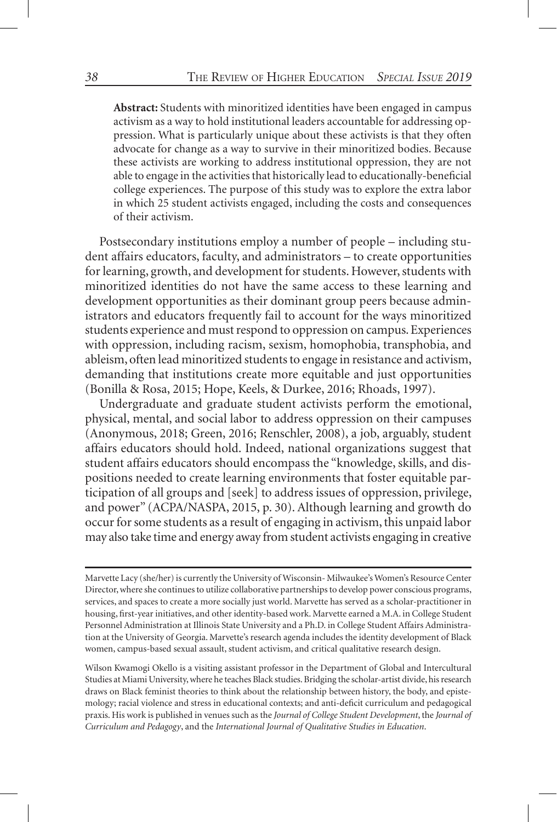**Abstract:** Students with minoritized identities have been engaged in campus activism as a way to hold institutional leaders accountable for addressing oppression. What is particularly unique about these activists is that they often advocate for change as a way to survive in their minoritized bodies. Because these activists are working to address institutional oppression, they are not able to engage in the activities that historically lead to educationally-beneficial college experiences. The purpose of this study was to explore the extra labor in which 25 student activists engaged, including the costs and consequences of their activism.

Postsecondary institutions employ a number of people – including student affairs educators, faculty, and administrators – to create opportunities for learning, growth, and development for students. However, students with minoritized identities do not have the same access to these learning and development opportunities as their dominant group peers because administrators and educators frequently fail to account for the ways minoritized students experience and must respond to oppression on campus. Experiences with oppression, including racism, sexism, homophobia, transphobia, and ableism, often lead minoritized students to engage in resistance and activism, demanding that institutions create more equitable and just opportunities (Bonilla & Rosa, 2015; Hope, Keels, & Durkee, 2016; Rhoads, 1997).

Undergraduate and graduate student activists perform the emotional, physical, mental, and social labor to address oppression on their campuses (Anonymous, 2018; Green, 2016; Renschler, 2008), a job, arguably, student affairs educators should hold. Indeed, national organizations suggest that student affairs educators should encompass the "knowledge, skills, and dispositions needed to create learning environments that foster equitable participation of all groups and [seek] to address issues of oppression, privilege, and power" (ACPA/NASPA, 2015, p. 30). Although learning and growth do occur for some students as a result of engaging in activism, this unpaid labor may also take time and energy away from student activists engaging in creative

Wilson Kwamogi Okello is a visiting assistant professor in the Department of Global and Intercultural Studies at Miami University, where he teaches Black studies. Bridging the scholar-artist divide, his research draws on Black feminist theories to think about the relationship between history, the body, and epistemology; racial violence and stress in educational contexts; and anti-deficit curriculum and pedagogical praxis. His work is published in venues such as the *Journal of College Student Development*, the *Journal of Curriculum and Pedagogy*, and the *International Journal of Qualitative Studies in Education*.

Marvette Lacy (she/her) is currently the University of Wisconsin- Milwaukee's Women's Resource Center Director, where she continues to utilize collaborative partnerships to develop power conscious programs, services, and spaces to create a more socially just world. Marvette has served as a scholar-practitioner in housing, first-year initiatives, and other identity-based work. Marvette earned a M.A. in College Student Personnel Administration at Illinois State University and a Ph.D. in College Student Affairs Administration at the University of Georgia. Marvette's research agenda includes the identity development of Black women, campus-based sexual assault, student activism, and critical qualitative research design.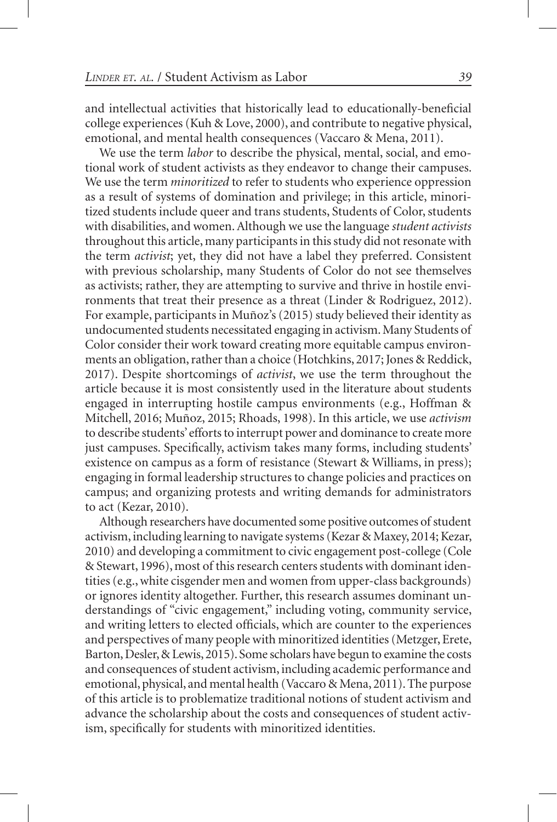and intellectual activities that historically lead to educationally-beneficial college experiences (Kuh & Love, 2000), and contribute to negative physical, emotional, and mental health consequences (Vaccaro & Mena, 2011).

We use the term *labor* to describe the physical, mental, social, and emotional work of student activists as they endeavor to change their campuses. We use the term *minoritized* to refer to students who experience oppression as a result of systems of domination and privilege; in this article, minoritized students include queer and trans students, Students of Color, students with disabilities, and women. Although we use the language *student activists* throughout this article, many participants in this study did not resonate with the term *activist*; yet, they did not have a label they preferred. Consistent with previous scholarship, many Students of Color do not see themselves as activists; rather, they are attempting to survive and thrive in hostile environments that treat their presence as a threat (Linder & Rodriguez, 2012). For example, participants in Muñoz's (2015) study believed their identity as undocumented students necessitated engaging in activism. Many Students of Color consider their work toward creating more equitable campus environments an obligation, rather than a choice (Hotchkins, 2017; Jones & Reddick, 2017). Despite shortcomings of *activist*, we use the term throughout the article because it is most consistently used in the literature about students engaged in interrupting hostile campus environments (e.g., Hoffman & Mitchell, 2016; Muñoz, 2015; Rhoads, 1998). In this article, we use *activism* to describe students' efforts to interrupt power and dominance to create more just campuses. Specifically, activism takes many forms, including students' existence on campus as a form of resistance (Stewart & Williams, in press); engaging in formal leadership structures to change policies and practices on campus; and organizing protests and writing demands for administrators to act (Kezar, 2010).

Although researchers have documented some positive outcomes of student activism, including learning to navigate systems (Kezar & Maxey, 2014; Kezar, 2010) and developing a commitment to civic engagement post-college (Cole & Stewart, 1996), most of this research centers students with dominant identities (e.g., white cisgender men and women from upper-class backgrounds) or ignores identity altogether. Further, this research assumes dominant understandings of "civic engagement," including voting, community service, and writing letters to elected officials, which are counter to the experiences and perspectives of many people with minoritized identities (Metzger, Erete, Barton, Desler, & Lewis, 2015). Some scholars have begun to examine the costs and consequences of student activism, including academic performance and emotional, physical, and mental health (Vaccaro & Mena, 2011). The purpose of this article is to problematize traditional notions of student activism and advance the scholarship about the costs and consequences of student activism, specifically for students with minoritized identities.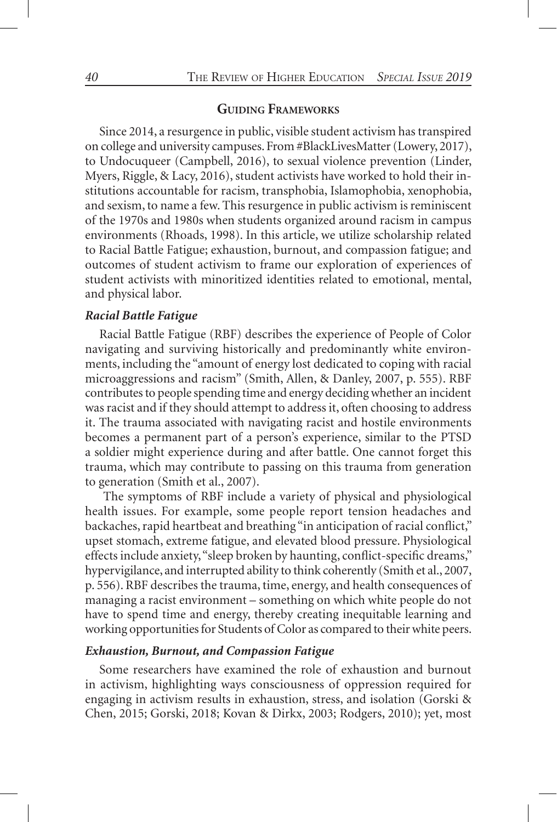# **Guiding Frameworks**

Since 2014, a resurgence in public, visible student activism has transpired on college and university campuses. From #BlackLivesMatter (Lowery, 2017), to Undocuqueer (Campbell, 2016), to sexual violence prevention (Linder, Myers, Riggle, & Lacy, 2016), student activists have worked to hold their institutions accountable for racism, transphobia, Islamophobia, xenophobia, and sexism, to name a few. This resurgence in public activism is reminiscent of the 1970s and 1980s when students organized around racism in campus environments (Rhoads, 1998). In this article, we utilize scholarship related to Racial Battle Fatigue; exhaustion, burnout, and compassion fatigue; and outcomes of student activism to frame our exploration of experiences of student activists with minoritized identities related to emotional, mental, and physical labor.

#### *Racial Battle Fatigue*

Racial Battle Fatigue (RBF) describes the experience of People of Color navigating and surviving historically and predominantly white environments, including the "amount of energy lost dedicated to coping with racial microaggressions and racism" (Smith, Allen, & Danley, 2007, p. 555). RBF contributes to people spending time and energy deciding whether an incident was racist and if they should attempt to address it, often choosing to address it. The trauma associated with navigating racist and hostile environments becomes a permanent part of a person's experience, similar to the PTSD a soldier might experience during and after battle. One cannot forget this trauma, which may contribute to passing on this trauma from generation to generation (Smith et al., 2007).

 The symptoms of RBF include a variety of physical and physiological health issues. For example, some people report tension headaches and backaches, rapid heartbeat and breathing "in anticipation of racial conflict," upset stomach, extreme fatigue, and elevated blood pressure. Physiological effects include anxiety, "sleep broken by haunting, conflict-specific dreams," hypervigilance, and interrupted ability to think coherently (Smith et al., 2007, p. 556). RBF describes the trauma, time, energy, and health consequences of managing a racist environment – something on which white people do not have to spend time and energy, thereby creating inequitable learning and working opportunities for Students of Color as compared to their white peers.

#### *Exhaustion, Burnout, and Compassion Fatigue*

Some researchers have examined the role of exhaustion and burnout in activism, highlighting ways consciousness of oppression required for engaging in activism results in exhaustion, stress, and isolation (Gorski & Chen, 2015; Gorski, 2018; Kovan & Dirkx, 2003; Rodgers, 2010); yet, most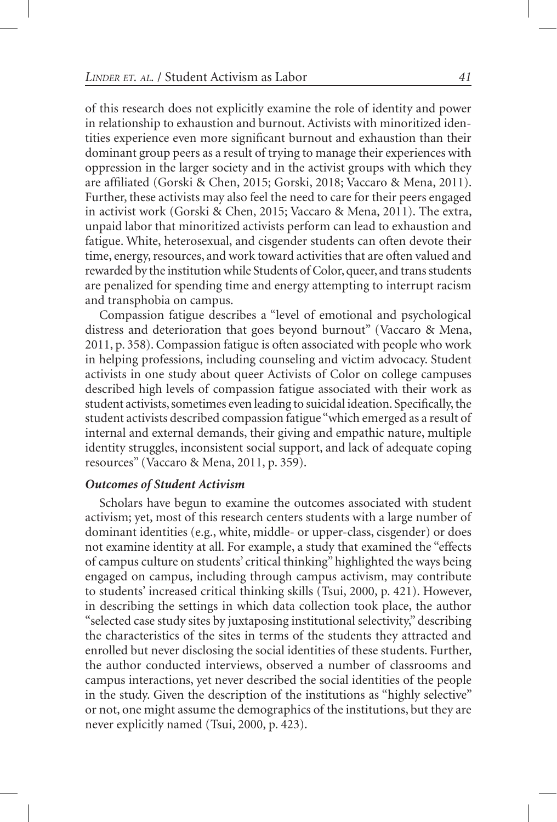of this research does not explicitly examine the role of identity and power in relationship to exhaustion and burnout. Activists with minoritized identities experience even more significant burnout and exhaustion than their dominant group peers as a result of trying to manage their experiences with oppression in the larger society and in the activist groups with which they are affiliated (Gorski & Chen, 2015; Gorski, 2018; Vaccaro & Mena, 2011). Further, these activists may also feel the need to care for their peers engaged in activist work (Gorski & Chen, 2015; Vaccaro & Mena, 2011). The extra, unpaid labor that minoritized activists perform can lead to exhaustion and fatigue. White, heterosexual, and cisgender students can often devote their time, energy, resources, and work toward activities that are often valued and rewarded by the institution while Students of Color, queer, and trans students are penalized for spending time and energy attempting to interrupt racism and transphobia on campus.

Compassion fatigue describes a "level of emotional and psychological distress and deterioration that goes beyond burnout" (Vaccaro & Mena, 2011, p. 358). Compassion fatigue is often associated with people who work in helping professions, including counseling and victim advocacy. Student activists in one study about queer Activists of Color on college campuses described high levels of compassion fatigue associated with their work as student activists, sometimes even leading to suicidal ideation. Specifically, the student activists described compassion fatigue "which emerged as a result of internal and external demands, their giving and empathic nature, multiple identity struggles, inconsistent social support, and lack of adequate coping resources" (Vaccaro & Mena, 2011, p. 359).

#### *Outcomes of Student Activism*

Scholars have begun to examine the outcomes associated with student activism; yet, most of this research centers students with a large number of dominant identities (e.g., white, middle- or upper-class, cisgender) or does not examine identity at all. For example, a study that examined the "effects of campus culture on students' critical thinking" highlighted the ways being engaged on campus, including through campus activism, may contribute to students' increased critical thinking skills (Tsui, 2000, p. 421). However, in describing the settings in which data collection took place, the author "selected case study sites by juxtaposing institutional selectivity," describing the characteristics of the sites in terms of the students they attracted and enrolled but never disclosing the social identities of these students. Further, the author conducted interviews, observed a number of classrooms and campus interactions, yet never described the social identities of the people in the study. Given the description of the institutions as "highly selective" or not, one might assume the demographics of the institutions, but they are never explicitly named (Tsui, 2000, p. 423).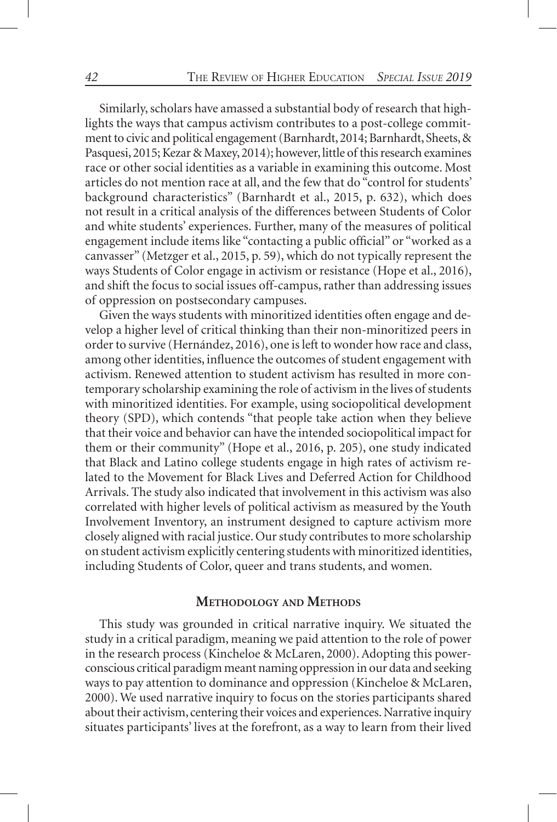Similarly, scholars have amassed a substantial body of research that highlights the ways that campus activism contributes to a post-college commitment to civic and political engagement (Barnhardt, 2014; Barnhardt, Sheets, & Pasquesi, 2015; Kezar & Maxey, 2014); however, little of this research examines race or other social identities as a variable in examining this outcome. Most articles do not mention race at all, and the few that do "control for students' background characteristics" (Barnhardt et al., 2015, p. 632), which does not result in a critical analysis of the differences between Students of Color and white students' experiences. Further, many of the measures of political engagement include items like "contacting a public official" or "worked as a canvasser" (Metzger et al., 2015, p. 59), which do not typically represent the ways Students of Color engage in activism or resistance (Hope et al., 2016), and shift the focus to social issues off-campus, rather than addressing issues of oppression on postsecondary campuses.

Given the ways students with minoritized identities often engage and develop a higher level of critical thinking than their non-minoritized peers in order to survive (Hernández, 2016), one is left to wonder how race and class, among other identities, influence the outcomes of student engagement with activism. Renewed attention to student activism has resulted in more contemporary scholarship examining the role of activism in the lives of students with minoritized identities. For example, using sociopolitical development theory (SPD), which contends "that people take action when they believe that their voice and behavior can have the intended sociopolitical impact for them or their community" (Hope et al., 2016, p. 205), one study indicated that Black and Latino college students engage in high rates of activism related to the Movement for Black Lives and Deferred Action for Childhood Arrivals. The study also indicated that involvement in this activism was also correlated with higher levels of political activism as measured by the Youth Involvement Inventory, an instrument designed to capture activism more closely aligned with racial justice. Our study contributes to more scholarship on student activism explicitly centering students with minoritized identities, including Students of Color, queer and trans students, and women.

# **Methodology and Methods**

This study was grounded in critical narrative inquiry. We situated the study in a critical paradigm, meaning we paid attention to the role of power in the research process (Kincheloe & McLaren, 2000). Adopting this powerconscious critical paradigm meant naming oppression in our data and seeking ways to pay attention to dominance and oppression (Kincheloe & McLaren, 2000). We used narrative inquiry to focus on the stories participants shared about their activism, centering their voices and experiences. Narrative inquiry situates participants' lives at the forefront, as a way to learn from their lived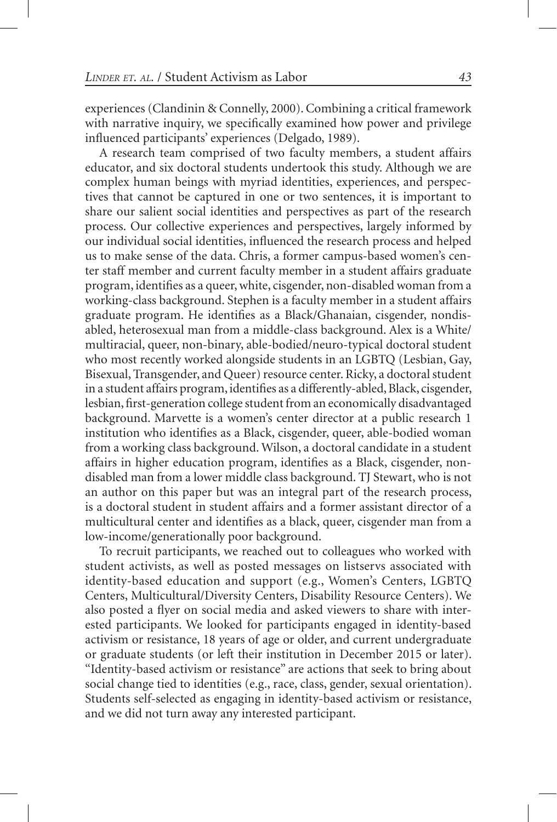experiences (Clandinin & Connelly, 2000). Combining a critical framework with narrative inquiry, we specifically examined how power and privilege influenced participants' experiences (Delgado, 1989).

A research team comprised of two faculty members, a student affairs educator, and six doctoral students undertook this study. Although we are complex human beings with myriad identities, experiences, and perspectives that cannot be captured in one or two sentences, it is important to share our salient social identities and perspectives as part of the research process. Our collective experiences and perspectives, largely informed by our individual social identities, influenced the research process and helped us to make sense of the data. Chris, a former campus-based women's center staff member and current faculty member in a student affairs graduate program, identifies as a queer, white, cisgender, non-disabled woman from a working-class background. Stephen is a faculty member in a student affairs graduate program. He identifies as a Black/Ghanaian, cisgender, nondisabled, heterosexual man from a middle-class background. Alex is a White/ multiracial, queer, non-binary, able-bodied/neuro-typical doctoral student who most recently worked alongside students in an LGBTQ (Lesbian, Gay, Bisexual, Transgender, and Queer) resource center. Ricky, a doctoral student in a student affairs program, identifies as a differently-abled, Black, cisgender, lesbian, first-generation college student from an economically disadvantaged background. Marvette is a women's center director at a public research 1 institution who identifies as a Black, cisgender, queer, able-bodied woman from a working class background. Wilson, a doctoral candidate in a student affairs in higher education program, identifies as a Black, cisgender, nondisabled man from a lower middle class background. TJ Stewart, who is not an author on this paper but was an integral part of the research process, is a doctoral student in student affairs and a former assistant director of a multicultural center and identifies as a black, queer, cisgender man from a low-income/generationally poor background.

To recruit participants, we reached out to colleagues who worked with student activists, as well as posted messages on listservs associated with identity-based education and support (e.g., Women's Centers, LGBTQ Centers, Multicultural/Diversity Centers, Disability Resource Centers). We also posted a flyer on social media and asked viewers to share with interested participants. We looked for participants engaged in identity-based activism or resistance, 18 years of age or older, and current undergraduate or graduate students (or left their institution in December 2015 or later). "Identity-based activism or resistance" are actions that seek to bring about social change tied to identities (e.g., race, class, gender, sexual orientation). Students self-selected as engaging in identity-based activism or resistance, and we did not turn away any interested participant.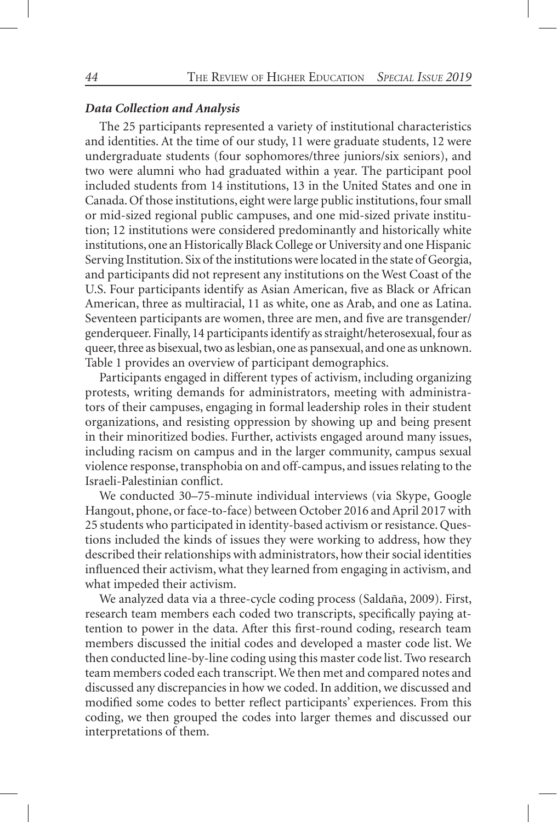#### *Data Collection and Analysis*

The 25 participants represented a variety of institutional characteristics and identities. At the time of our study, 11 were graduate students, 12 were undergraduate students (four sophomores/three juniors/six seniors), and two were alumni who had graduated within a year. The participant pool included students from 14 institutions, 13 in the United States and one in Canada. Of those institutions, eight were large public institutions, four small or mid-sized regional public campuses, and one mid-sized private institution; 12 institutions were considered predominantly and historically white institutions, one an Historically Black College or University and one Hispanic Serving Institution. Six of the institutions were located in the state of Georgia, and participants did not represent any institutions on the West Coast of the U.S. Four participants identify as Asian American, five as Black or African American, three as multiracial, 11 as white, one as Arab, and one as Latina. Seventeen participants are women, three are men, and five are transgender/ genderqueer. Finally, 14 participants identify as straight/heterosexual, four as queer, three as bisexual, two as lesbian, one as pansexual, and one as unknown. Table 1 provides an overview of participant demographics.

Participants engaged in different types of activism, including organizing protests, writing demands for administrators, meeting with administrators of their campuses, engaging in formal leadership roles in their student organizations, and resisting oppression by showing up and being present in their minoritized bodies. Further, activists engaged around many issues, including racism on campus and in the larger community, campus sexual violence response, transphobia on and off-campus, and issues relating to the Israeli-Palestinian conflict.

We conducted 30–75-minute individual interviews (via Skype, Google Hangout, phone, or face-to-face) between October 2016 and April 2017 with 25 students who participated in identity-based activism or resistance. Questions included the kinds of issues they were working to address, how they described their relationships with administrators, how their social identities influenced their activism, what they learned from engaging in activism, and what impeded their activism.

We analyzed data via a three-cycle coding process (Saldaña, 2009). First, research team members each coded two transcripts, specifically paying attention to power in the data. After this first-round coding, research team members discussed the initial codes and developed a master code list. We then conducted line-by-line coding using this master code list. Two research team members coded each transcript. We then met and compared notes and discussed any discrepancies in how we coded. In addition, we discussed and modified some codes to better reflect participants' experiences. From this coding, we then grouped the codes into larger themes and discussed our interpretations of them.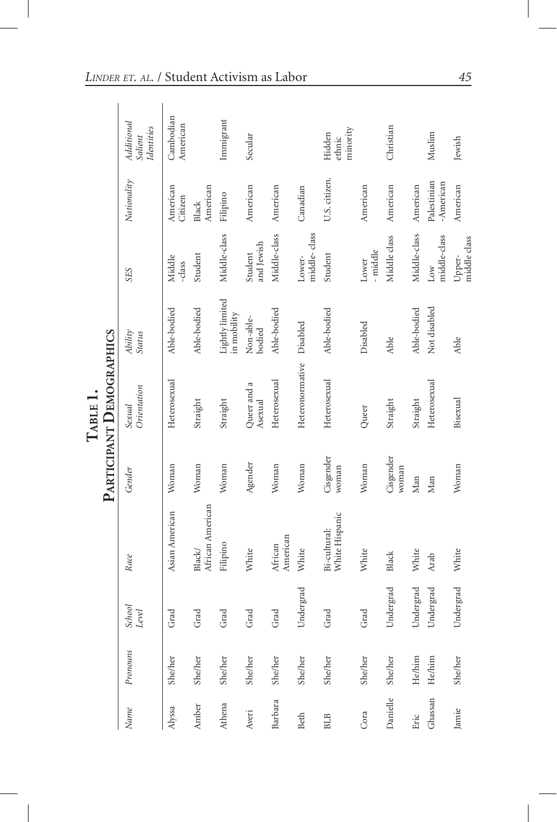|            |                |                 |                                |                    | TABLE 1.                 |                                |                        |                          |                                     |
|------------|----------------|-----------------|--------------------------------|--------------------|--------------------------|--------------------------------|------------------------|--------------------------|-------------------------------------|
|            |                |                 |                                |                    | PARTICIPANT DEMOGRAPHICS |                                |                        |                          |                                     |
| Name       | Pronouns       | School<br>Level | Race                           | Gender             | Orientation<br>Sexual    | Ability<br><b>Status</b>       | <b>SES</b>             | Nationality              | Additional<br>Identities<br>Salient |
| Alyssa     | She/her        | Grad            | Asian American                 | Woman              | Heterosexual             | Able-bodied                    | Middle<br>-class       | American<br>Citizen      | Cambodian<br>American               |
| Amber      | She/her        | Grad            | African American<br>Black/     | Woman              | Straight                 | Able-bodied                    | Student                | American<br>Black        |                                     |
| Athena     | She/her        | Grad            | Filipino                       | Woman              | Straight                 | Lightly limited<br>in mobility | Middle-class           | Filipino                 | Immigrant                           |
| Averi      | She/her        | Grad            | White                          | Agender            | Queer and a<br>Asexual   | Non-able-<br>bodied            | and Jewish<br>Student  | American                 | Secular                             |
| Barbara    | She/her        | Grad            | American<br>African            | Woman              | Heterosexual             | Able-bodied                    | Middle-class           | American                 |                                     |
| Beth       | She/her        | Undergrad       | White                          | Woman              | Heteronormative          | Disabled                       | middle-dass<br>Lower-  | Canadian                 |                                     |
| <b>BLB</b> | <b>She/her</b> | Grad            | White Hispanic<br>Bi-cultural: | Cisgender<br>woman | Heterosexual             | Able-bodied                    | Student                | U.S. citizen.            | minority<br>Hidden<br>ethnic        |
| Cora       | She/her        | Grad            | White                          | Woman              | Queer                    | Disabled                       | - middle<br>Lower      | American                 |                                     |
| Danielle   | She/her        | Undergrad       | <b>Black</b>                   | Cisgender<br>woman | Straight                 | Able                           | Middle class           | American                 | Christian                           |
| Eric       | He/him         | Undergrad       | White                          | Man                | Straight                 | Able-bodied                    | Middle-class           | American                 |                                     |
| Ghassan    | He/him         | Undergrad       | Arab                           | Man                | Heterosexual             | Not disabled                   | middle-class<br>Low    | Palestinian<br>-American | Muslim                              |
| Jamie      | She/her        | Undergrad       | White                          | Woman              | Bisexual                 | Able                           | middle class<br>Upper- | American                 | Jewish                              |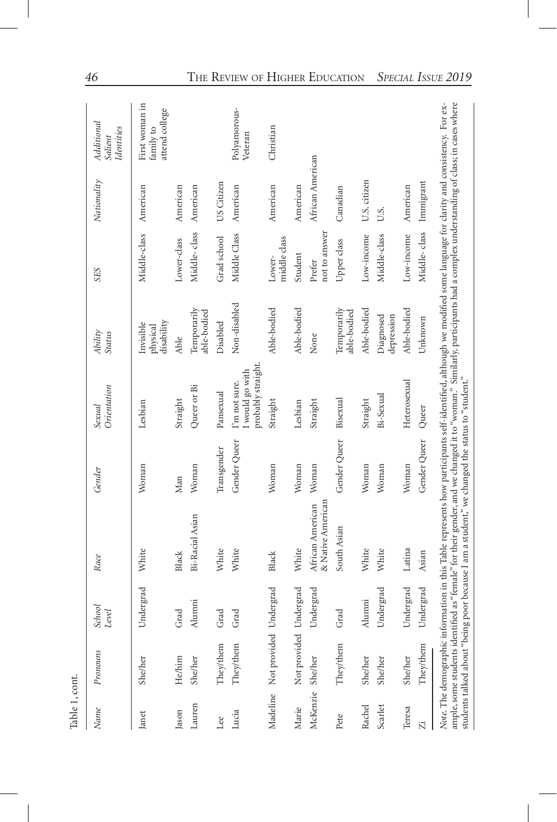| Table 1, cont.   |                       |                 |                                                                                                                                                                                                                                                                                                                                                                                                                                                    |              |                                                        |                                     |                         |                  |                                               |
|------------------|-----------------------|-----------------|----------------------------------------------------------------------------------------------------------------------------------------------------------------------------------------------------------------------------------------------------------------------------------------------------------------------------------------------------------------------------------------------------------------------------------------------------|--------------|--------------------------------------------------------|-------------------------------------|-------------------------|------------------|-----------------------------------------------|
| Name             | Pronouns              | School<br>Level | Race                                                                                                                                                                                                                                                                                                                                                                                                                                               | Gender       | Orientation<br>Sexual                                  | Ability<br><b>Status</b>            | <b>SES</b>              | Nationality      | Additional<br>Identities<br>Salient           |
| Janet            | She/her               | Jndergrad       | White                                                                                                                                                                                                                                                                                                                                                                                                                                              | Woman        | Lesbian                                                | disability<br>Invisible<br>physical | Middle-class            | American         | First woman in<br>attend college<br>family to |
| Jason            | He/him                | Grad            | Black                                                                                                                                                                                                                                                                                                                                                                                                                                              | Man          | Straight                                               | Able                                | Lower-class             | American         |                                               |
| Lauren           | <b>She/her</b>        | <b>Mumni</b>    | <b>Bi-Racial Asian</b>                                                                                                                                                                                                                                                                                                                                                                                                                             | Woman        | Queer or Bi                                            | Temporarily<br>able-bodied          | Middle-class            | American         |                                               |
| Lee              | They/them             | Grad            | White                                                                                                                                                                                                                                                                                                                                                                                                                                              | Transgender  | Pansexual                                              | Disabled                            | Grad school             | US Citizen       |                                               |
| Lucia            | They/them             | <b>Grad</b>     | White                                                                                                                                                                                                                                                                                                                                                                                                                                              | Gender Queer | probably straight.<br>I would go with<br>I'm not sure. | Non-disabled                        | Middle Class            | American         | Polyamorous-<br>Veteran                       |
|                  | Madeline Not provided | Undergrad       | Black                                                                                                                                                                                                                                                                                                                                                                                                                                              | Woman        | Straight                                               | Able-bodied                         | middle class<br>Lower-  | American         | Christian                                     |
| Marie            | Not provided          | Jndergrad       | White                                                                                                                                                                                                                                                                                                                                                                                                                                              | Woman        | Lesbian                                                | Able-bodied                         | Student                 | American         |                                               |
| McKenzie She/her |                       | Undergrad       | & Native American<br>African American                                                                                                                                                                                                                                                                                                                                                                                                              | Woman        | Straight                                               | None                                | not to answer<br>Prefer | African American |                                               |
| Pete             | They/them             | Grad            | South Asian                                                                                                                                                                                                                                                                                                                                                                                                                                        | Gender Queer | Bisexual                                               | Temporarily<br>able-bodied          | Upper class             | Canadian         |                                               |
| Rachel           | She/her               | <b>Munni</b>    | White                                                                                                                                                                                                                                                                                                                                                                                                                                              | Woman        | Straight                                               | Able-bodied                         | Low-income              | U.S. citizen     |                                               |
| Scarlet          | She/her               | Jndergrad       | White                                                                                                                                                                                                                                                                                                                                                                                                                                              | Woman        | Bi-Sexual                                              | Diagnosed<br>depression             | Middle-class            | U.S.             |                                               |
| Teresa           | She/her               | Jndergrad       | Latina                                                                                                                                                                                                                                                                                                                                                                                                                                             | Woman        | Heterosexual                                           | Able-bodied                         | Low-income              | American         |                                               |
| Ä                | They/them             | Undergrad       | Asian                                                                                                                                                                                                                                                                                                                                                                                                                                              | Gender Queer | Queer                                                  | Unknown                             | Middle-class            | Immigrant        |                                               |
|                  |                       |                 | ample, some students identified as "female" for their gender, and we changed it to "woman." Similarly, participants had a complex understanding of class; in cases where<br>Note. The demographic information in this Table represents how participants self-identified, although we modified some language for clarity and consistency. For ex-<br>students talked about "being poor because I am a student," we changed the status to "student." |              |                                                        |                                     |                         |                  |                                               |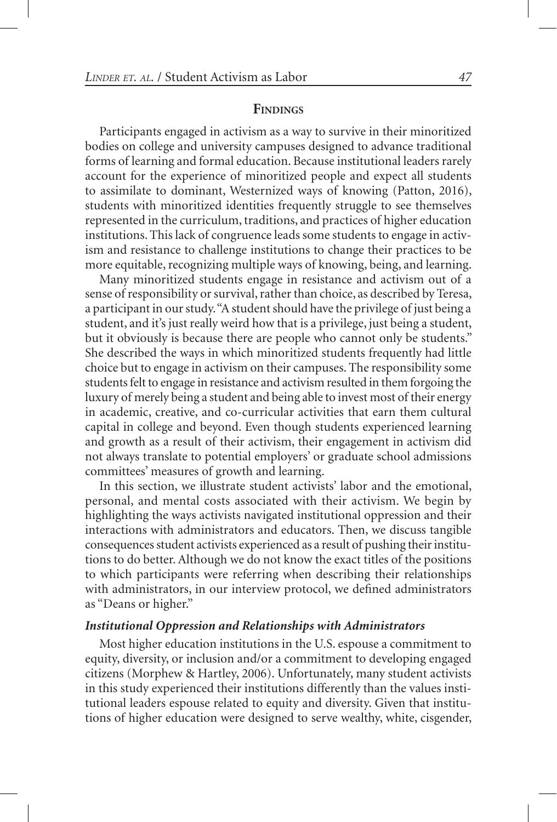#### **Findings**

Participants engaged in activism as a way to survive in their minoritized bodies on college and university campuses designed to advance traditional forms of learning and formal education. Because institutional leaders rarely account for the experience of minoritized people and expect all students to assimilate to dominant, Westernized ways of knowing (Patton, 2016), students with minoritized identities frequently struggle to see themselves represented in the curriculum, traditions, and practices of higher education institutions. This lack of congruence leads some students to engage in activism and resistance to challenge institutions to change their practices to be more equitable, recognizing multiple ways of knowing, being, and learning.

Many minoritized students engage in resistance and activism out of a sense of responsibility or survival, rather than choice, as described by Teresa, a participant in our study. "A student should have the privilege of just being a student, and it's just really weird how that is a privilege, just being a student, but it obviously is because there are people who cannot only be students." She described the ways in which minoritized students frequently had little choice but to engage in activism on their campuses. The responsibility some students felt to engage in resistance and activism resulted in them forgoing the luxury of merely being a student and being able to invest most of their energy in academic, creative, and co-curricular activities that earn them cultural capital in college and beyond. Even though students experienced learning and growth as a result of their activism, their engagement in activism did not always translate to potential employers' or graduate school admissions committees' measures of growth and learning.

In this section, we illustrate student activists' labor and the emotional, personal, and mental costs associated with their activism. We begin by highlighting the ways activists navigated institutional oppression and their interactions with administrators and educators. Then, we discuss tangible consequences student activists experienced as a result of pushing their institutions to do better. Although we do not know the exact titles of the positions to which participants were referring when describing their relationships with administrators, in our interview protocol, we defined administrators as "Deans or higher."

#### *Institutional Oppression and Relationships with Administrators*

Most higher education institutions in the U.S. espouse a commitment to equity, diversity, or inclusion and/or a commitment to developing engaged citizens (Morphew & Hartley, 2006). Unfortunately, many student activists in this study experienced their institutions differently than the values institutional leaders espouse related to equity and diversity. Given that institutions of higher education were designed to serve wealthy, white, cisgender,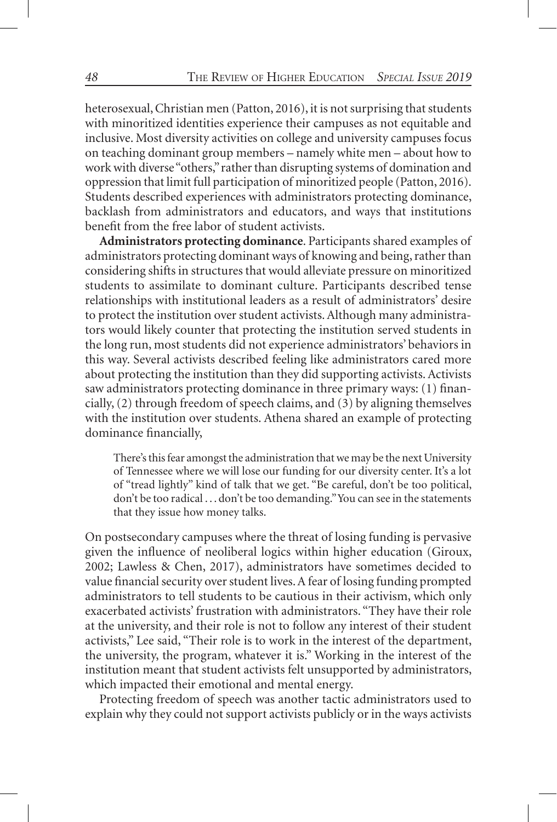heterosexual, Christian men (Patton, 2016), it is not surprising that students with minoritized identities experience their campuses as not equitable and inclusive. Most diversity activities on college and university campuses focus on teaching dominant group members – namely white men – about how to work with diverse "others," rather than disrupting systems of domination and oppression that limit full participation of minoritized people (Patton, 2016). Students described experiences with administrators protecting dominance, backlash from administrators and educators, and ways that institutions benefit from the free labor of student activists.

**Administrators protecting dominance**. Participants shared examples of administrators protecting dominant ways of knowing and being, rather than considering shifts in structures that would alleviate pressure on minoritized students to assimilate to dominant culture. Participants described tense relationships with institutional leaders as a result of administrators' desire to protect the institution over student activists. Although many administrators would likely counter that protecting the institution served students in the long run, most students did not experience administrators' behaviors in this way. Several activists described feeling like administrators cared more about protecting the institution than they did supporting activists. Activists saw administrators protecting dominance in three primary ways: (1) financially, (2) through freedom of speech claims, and (3) by aligning themselves with the institution over students. Athena shared an example of protecting dominance financially,

There's this fear amongst the administration that we may be the next University of Tennessee where we will lose our funding for our diversity center. It's a lot of "tread lightly" kind of talk that we get. "Be careful, don't be too political, don't be too radical . . . don't be too demanding." You can see in the statements that they issue how money talks.

On postsecondary campuses where the threat of losing funding is pervasive given the influence of neoliberal logics within higher education (Giroux, 2002; Lawless & Chen, 2017), administrators have sometimes decided to value financial security over student lives. A fear of losing funding prompted administrators to tell students to be cautious in their activism, which only exacerbated activists' frustration with administrators. "They have their role at the university, and their role is not to follow any interest of their student activists," Lee said, "Their role is to work in the interest of the department, the university, the program, whatever it is." Working in the interest of the institution meant that student activists felt unsupported by administrators, which impacted their emotional and mental energy.

Protecting freedom of speech was another tactic administrators used to explain why they could not support activists publicly or in the ways activists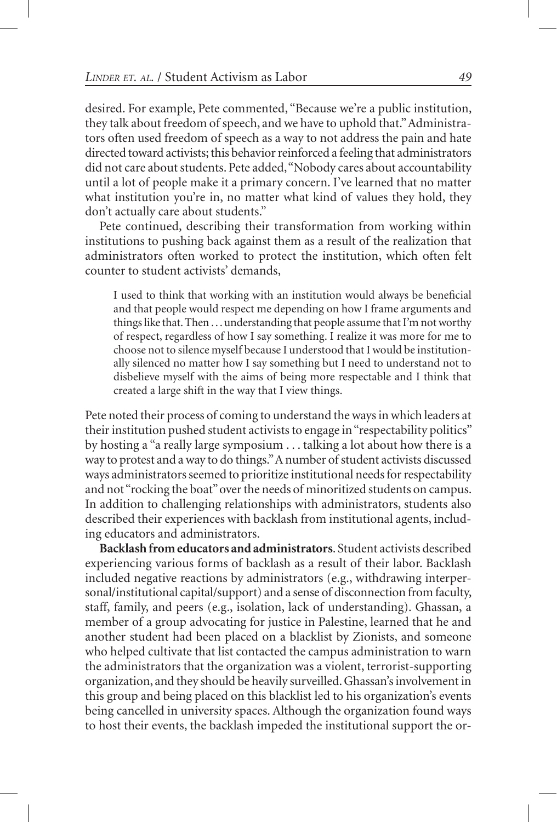desired. For example, Pete commented, "Because we're a public institution, they talk about freedom of speech, and we have to uphold that." Administrators often used freedom of speech as a way to not address the pain and hate directed toward activists; this behavior reinforced a feeling that administrators did not care about students. Pete added, "Nobody cares about accountability until a lot of people make it a primary concern. I've learned that no matter what institution you're in, no matter what kind of values they hold, they don't actually care about students."

Pete continued, describing their transformation from working within institutions to pushing back against them as a result of the realization that administrators often worked to protect the institution, which often felt counter to student activists' demands,

I used to think that working with an institution would always be beneficial and that people would respect me depending on how I frame arguments and things like that. Then . . . understanding that people assume that I'm not worthy of respect, regardless of how I say something. I realize it was more for me to choose not to silence myself because I understood that I would be institutionally silenced no matter how I say something but I need to understand not to disbelieve myself with the aims of being more respectable and I think that created a large shift in the way that I view things.

Pete noted their process of coming to understand the ways in which leaders at their institution pushed student activists to engage in "respectability politics" by hosting a "a really large symposium . . . talking a lot about how there is a way to protest and a way to do things." A number of student activists discussed ways administrators seemed to prioritize institutional needs for respectability and not "rocking the boat" over the needs of minoritized students on campus. In addition to challenging relationships with administrators, students also described their experiences with backlash from institutional agents, including educators and administrators.

**Backlash from educators and administrators**. Student activists described experiencing various forms of backlash as a result of their labor. Backlash included negative reactions by administrators (e.g., withdrawing interpersonal/institutional capital/support) and a sense of disconnection from faculty, staff, family, and peers (e.g., isolation, lack of understanding). Ghassan, a member of a group advocating for justice in Palestine, learned that he and another student had been placed on a blacklist by Zionists, and someone who helped cultivate that list contacted the campus administration to warn the administrators that the organization was a violent, terrorist-supporting organization, and they should be heavily surveilled. Ghassan's involvement in this group and being placed on this blacklist led to his organization's events being cancelled in university spaces. Although the organization found ways to host their events, the backlash impeded the institutional support the or-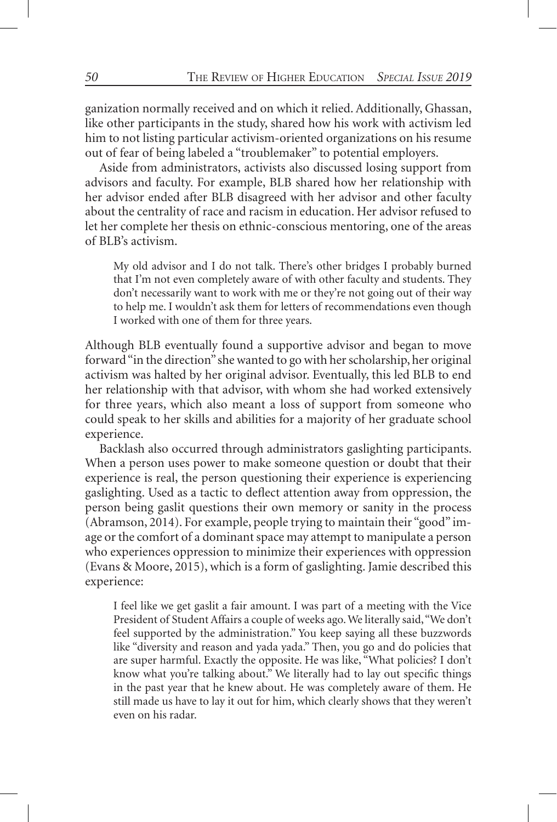ganization normally received and on which it relied. Additionally, Ghassan, like other participants in the study, shared how his work with activism led him to not listing particular activism-oriented organizations on his resume out of fear of being labeled a "troublemaker" to potential employers.

Aside from administrators, activists also discussed losing support from advisors and faculty. For example, BLB shared how her relationship with her advisor ended after BLB disagreed with her advisor and other faculty about the centrality of race and racism in education. Her advisor refused to let her complete her thesis on ethnic-conscious mentoring, one of the areas of BLB's activism.

My old advisor and I do not talk. There's other bridges I probably burned that I'm not even completely aware of with other faculty and students. They don't necessarily want to work with me or they're not going out of their way to help me. I wouldn't ask them for letters of recommendations even though I worked with one of them for three years.

Although BLB eventually found a supportive advisor and began to move forward "in the direction" she wanted to go with her scholarship, her original activism was halted by her original advisor. Eventually, this led BLB to end her relationship with that advisor, with whom she had worked extensively for three years, which also meant a loss of support from someone who could speak to her skills and abilities for a majority of her graduate school experience.

Backlash also occurred through administrators gaslighting participants. When a person uses power to make someone question or doubt that their experience is real, the person questioning their experience is experiencing gaslighting. Used as a tactic to deflect attention away from oppression, the person being gaslit questions their own memory or sanity in the process (Abramson, 2014). For example, people trying to maintain their "good" image or the comfort of a dominant space may attempt to manipulate a person who experiences oppression to minimize their experiences with oppression (Evans & Moore, 2015), which is a form of gaslighting. Jamie described this experience:

I feel like we get gaslit a fair amount. I was part of a meeting with the Vice President of Student Affairs a couple of weeks ago. We literally said, "We don't feel supported by the administration." You keep saying all these buzzwords like "diversity and reason and yada yada." Then, you go and do policies that are super harmful. Exactly the opposite. He was like, "What policies? I don't know what you're talking about." We literally had to lay out specific things in the past year that he knew about. He was completely aware of them. He still made us have to lay it out for him, which clearly shows that they weren't even on his radar.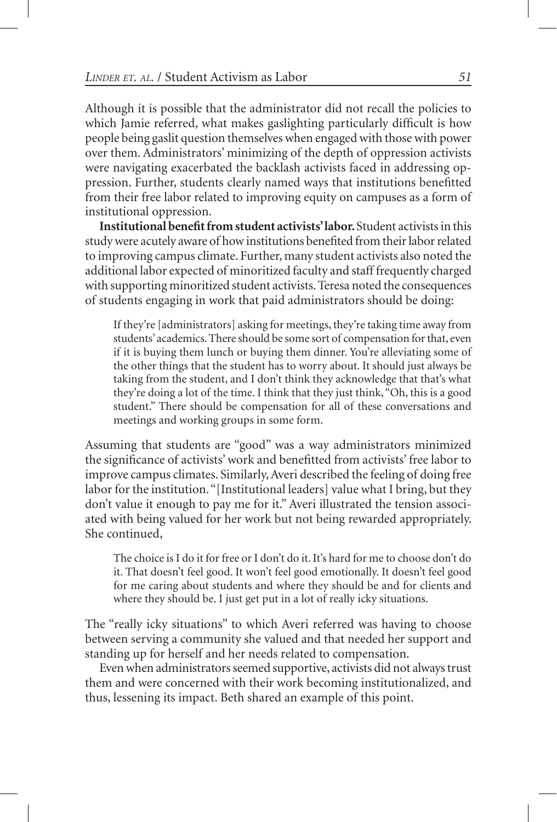Although it is possible that the administrator did not recall the policies to which Jamie referred, what makes gaslighting particularly difficult is how people being gaslit question themselves when engaged with those with power over them. Administrators' minimizing of the depth of oppression activists were navigating exacerbated the backlash activists faced in addressing oppression. Further, students clearly named ways that institutions benefitted from their free labor related to improving equity on campuses as a form of institutional oppression.

**Institutional benefit from student activists' labor.** Student activists in this study were acutely aware of how institutions benefited from their labor related to improving campus climate. Further, many student activists also noted the additional labor expected of minoritized faculty and staff frequently charged with supporting minoritized student activists. Teresa noted the consequences of students engaging in work that paid administrators should be doing:

If they're [administrators] asking for meetings, they're taking time away from students' academics. There should be some sort of compensation for that, even if it is buying them lunch or buying them dinner. You're alleviating some of the other things that the student has to worry about. It should just always be taking from the student, and I don't think they acknowledge that that's what they're doing a lot of the time. I think that they just think, "Oh, this is a good student." There should be compensation for all of these conversations and meetings and working groups in some form.

Assuming that students are "good" was a way administrators minimized the significance of activists' work and benefitted from activists' free labor to improve campus climates. Similarly, Averi described the feeling of doing free labor for the institution. "[Institutional leaders] value what I bring, but they don't value it enough to pay me for it." Averi illustrated the tension associated with being valued for her work but not being rewarded appropriately. She continued,

The choice is I do it for free or I don't do it. It's hard for me to choose don't do it. That doesn't feel good. It won't feel good emotionally. It doesn't feel good for me caring about students and where they should be and for clients and where they should be. I just get put in a lot of really icky situations.

The "really icky situations" to which Averi referred was having to choose between serving a community she valued and that needed her support and standing up for herself and her needs related to compensation.

Even when administrators seemed supportive, activists did not always trust them and were concerned with their work becoming institutionalized, and thus, lessening its impact. Beth shared an example of this point.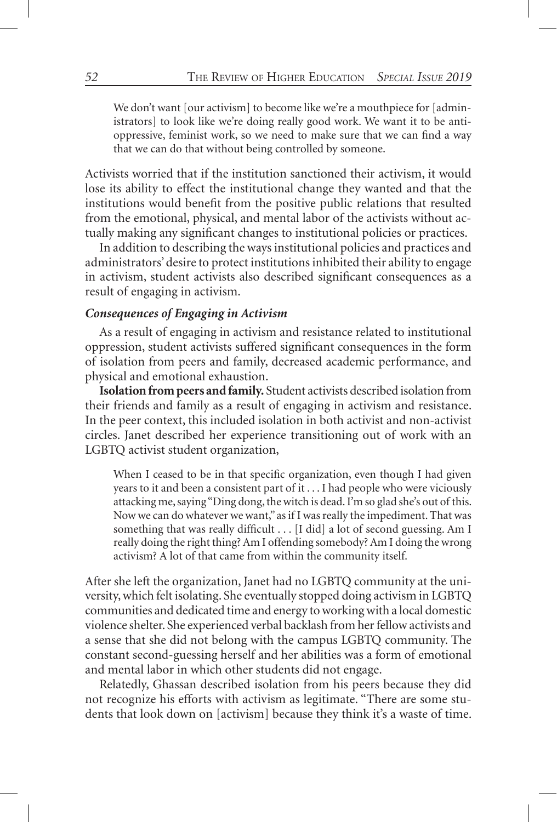We don't want [our activism] to become like we're a mouthpiece for [administrators] to look like we're doing really good work. We want it to be antioppressive, feminist work, so we need to make sure that we can find a way that we can do that without being controlled by someone.

Activists worried that if the institution sanctioned their activism, it would lose its ability to effect the institutional change they wanted and that the institutions would benefit from the positive public relations that resulted from the emotional, physical, and mental labor of the activists without actually making any significant changes to institutional policies or practices.

In addition to describing the ways institutional policies and practices and administrators' desire to protect institutions inhibited their ability to engage in activism, student activists also described significant consequences as a result of engaging in activism.

#### *Consequences of Engaging in Activism*

As a result of engaging in activism and resistance related to institutional oppression, student activists suffered significant consequences in the form of isolation from peers and family, decreased academic performance, and physical and emotional exhaustion.

**Isolation from peers and family.** Student activists described isolation from their friends and family as a result of engaging in activism and resistance. In the peer context, this included isolation in both activist and non-activist circles. Janet described her experience transitioning out of work with an LGBTQ activist student organization,

When I ceased to be in that specific organization, even though I had given years to it and been a consistent part of it . . . I had people who were viciously attacking me, saying "Ding dong, the witch is dead. I'm so glad she's out of this. Now we can do whatever we want," as if I was really the impediment. That was something that was really difficult . . . [I did] a lot of second guessing. Am I really doing the right thing? Am I offending somebody? Am I doing the wrong activism? A lot of that came from within the community itself.

After she left the organization, Janet had no LGBTQ community at the university, which felt isolating. She eventually stopped doing activism in LGBTQ communities and dedicated time and energy to working with a local domestic violence shelter. She experienced verbal backlash from her fellow activists and a sense that she did not belong with the campus LGBTQ community. The constant second-guessing herself and her abilities was a form of emotional and mental labor in which other students did not engage.

Relatedly, Ghassan described isolation from his peers because they did not recognize his efforts with activism as legitimate. "There are some students that look down on [activism] because they think it's a waste of time.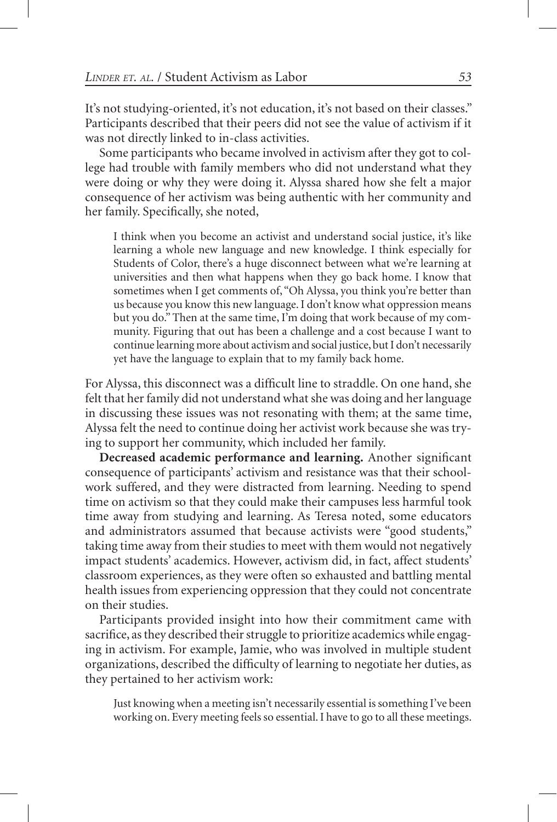It's not studying-oriented, it's not education, it's not based on their classes." Participants described that their peers did not see the value of activism if it was not directly linked to in-class activities.

Some participants who became involved in activism after they got to college had trouble with family members who did not understand what they were doing or why they were doing it. Alyssa shared how she felt a major consequence of her activism was being authentic with her community and her family. Specifically, she noted,

I think when you become an activist and understand social justice, it's like learning a whole new language and new knowledge. I think especially for Students of Color, there's a huge disconnect between what we're learning at universities and then what happens when they go back home. I know that sometimes when I get comments of, "Oh Alyssa, you think you're better than us because you know this new language. I don't know what oppression means but you do." Then at the same time, I'm doing that work because of my community. Figuring that out has been a challenge and a cost because I want to continue learning more about activism and social justice, but I don't necessarily yet have the language to explain that to my family back home.

For Alyssa, this disconnect was a difficult line to straddle. On one hand, she felt that her family did not understand what she was doing and her language in discussing these issues was not resonating with them; at the same time, Alyssa felt the need to continue doing her activist work because she was trying to support her community, which included her family.

**Decreased academic performance and learning.** Another significant consequence of participants' activism and resistance was that their schoolwork suffered, and they were distracted from learning. Needing to spend time on activism so that they could make their campuses less harmful took time away from studying and learning. As Teresa noted, some educators and administrators assumed that because activists were "good students," taking time away from their studies to meet with them would not negatively impact students' academics. However, activism did, in fact, affect students' classroom experiences, as they were often so exhausted and battling mental health issues from experiencing oppression that they could not concentrate on their studies.

Participants provided insight into how their commitment came with sacrifice, as they described their struggle to prioritize academics while engaging in activism. For example, Jamie, who was involved in multiple student organizations, described the difficulty of learning to negotiate her duties, as they pertained to her activism work:

Just knowing when a meeting isn't necessarily essential is something I've been working on. Every meeting feels so essential. I have to go to all these meetings.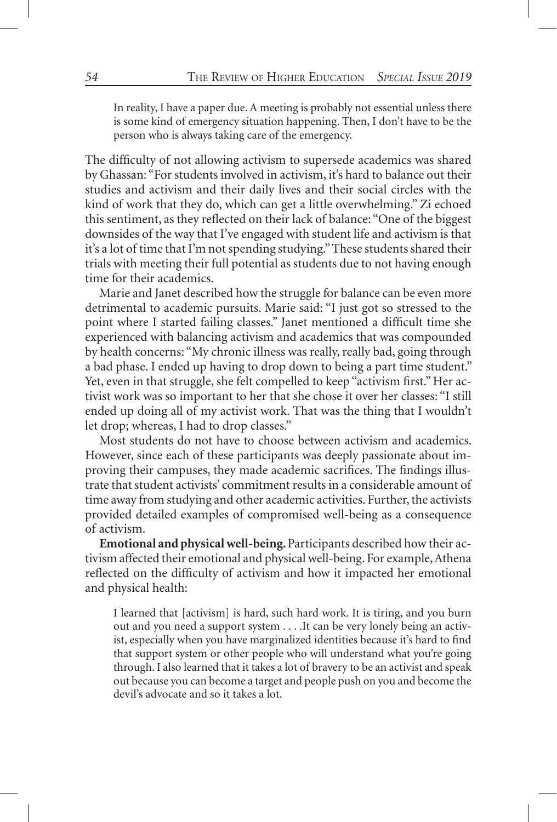In reality, I have a paper due. A meeting is probably not essential unless there is some kind of emergency situation happening. Then, I don't have to be the person who is always taking care of the emergency.

The difficulty of not allowing activism to supersede academics was shared by Ghassan: "For students involved in activism, it's hard to balance out their studies and activism and their daily lives and their social circles with the kind of work that they do, which can get a little overwhelming." Zi echoed this sentiment, as they reflected on their lack of balance: "One of the biggest downsides of the way that I've engaged with student life and activism is that it's a lot of time that I'm not spending studying." These students shared their trials with meeting their full potential as students due to not having enough time for their academics.

Marie and Janet described how the struggle for balance can be even more detrimental to academic pursuits. Marie said: "I just got so stressed to the point where I started failing classes." Janet mentioned a difficult time she experienced with balancing activism and academics that was compounded by health concerns: "My chronic illness was really, really bad, going through a bad phase. I ended up having to drop down to being a part time student." Yet, even in that struggle, she felt compelled to keep "activism first." Her activist work was so important to her that she chose it over her classes: "I still ended up doing all of my activist work. That was the thing that I wouldn't let drop; whereas, I had to drop classes."

Most students do not have to choose between activism and academics. However, since each of these participants was deeply passionate about improving their campuses, they made academic sacrifices. The findings illustrate that student activists' commitment results in a considerable amount of time away from studying and other academic activities. Further, the activists provided detailed examples of compromised well-being as a consequence of activism.

**Emotional and physical well-being.** Participants described how their activism affected their emotional and physical well-being. For example, Athena reflected on the difficulty of activism and how it impacted her emotional and physical health:

I learned that [activism] is hard, such hard work. It is tiring, and you burn out and you need a support system . . . .It can be very lonely being an activist, especially when you have marginalized identities because it's hard to find that support system or other people who will understand what you're going through. I also learned that it takes a lot of bravery to be an activist and speak out because you can become a target and people push on you and become the devil's advocate and so it takes a lot.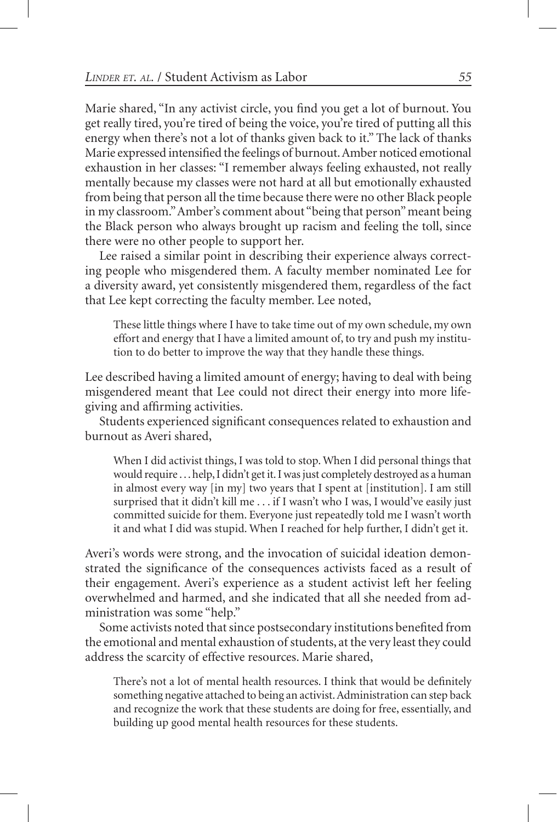Marie shared, "In any activist circle, you find you get a lot of burnout. You get really tired, you're tired of being the voice, you're tired of putting all this energy when there's not a lot of thanks given back to it." The lack of thanks Marie expressed intensified the feelings of burnout. Amber noticed emotional exhaustion in her classes: "I remember always feeling exhausted, not really mentally because my classes were not hard at all but emotionally exhausted from being that person all the time because there were no other Black people in my classroom." Amber's comment about "being that person" meant being the Black person who always brought up racism and feeling the toll, since there were no other people to support her.

Lee raised a similar point in describing their experience always correcting people who misgendered them. A faculty member nominated Lee for a diversity award, yet consistently misgendered them, regardless of the fact that Lee kept correcting the faculty member. Lee noted,

These little things where I have to take time out of my own schedule, my own effort and energy that I have a limited amount of, to try and push my institution to do better to improve the way that they handle these things.

Lee described having a limited amount of energy; having to deal with being misgendered meant that Lee could not direct their energy into more lifegiving and affirming activities.

Students experienced significant consequences related to exhaustion and burnout as Averi shared,

When I did activist things, I was told to stop. When I did personal things that would require . . . help, I didn't get it. I was just completely destroyed as a human in almost every way [in my] two years that I spent at [institution]. I am still surprised that it didn't kill me . . . if I wasn't who I was, I would've easily just committed suicide for them. Everyone just repeatedly told me I wasn't worth it and what I did was stupid. When I reached for help further, I didn't get it.

Averi's words were strong, and the invocation of suicidal ideation demonstrated the significance of the consequences activists faced as a result of their engagement. Averi's experience as a student activist left her feeling overwhelmed and harmed, and she indicated that all she needed from administration was some "help."

Some activists noted that since postsecondary institutions benefited from the emotional and mental exhaustion of students, at the very least they could address the scarcity of effective resources. Marie shared,

There's not a lot of mental health resources. I think that would be definitely something negative attached to being an activist. Administration can step back and recognize the work that these students are doing for free, essentially, and building up good mental health resources for these students.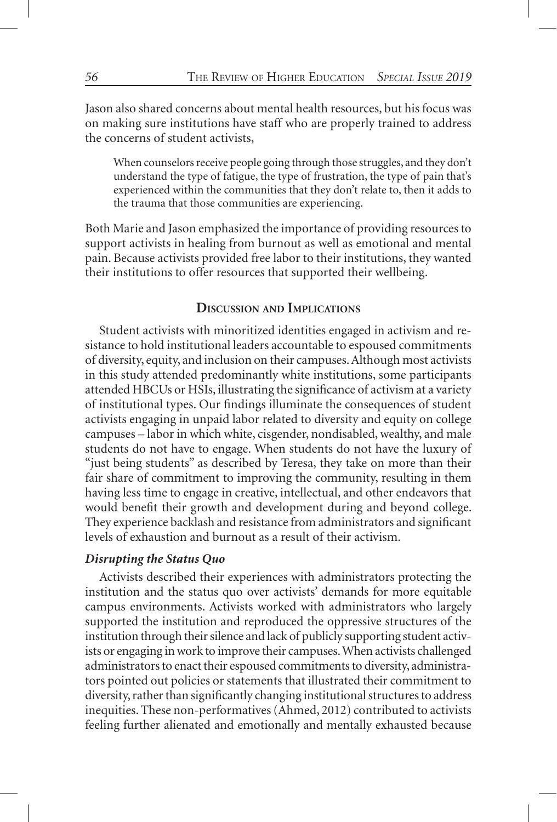Jason also shared concerns about mental health resources, but his focus was on making sure institutions have staff who are properly trained to address the concerns of student activists,

When counselors receive people going through those struggles, and they don't understand the type of fatigue, the type of frustration, the type of pain that's experienced within the communities that they don't relate to, then it adds to the trauma that those communities are experiencing.

Both Marie and Jason emphasized the importance of providing resources to support activists in healing from burnout as well as emotional and mental pain. Because activists provided free labor to their institutions, they wanted their institutions to offer resources that supported their wellbeing.

# **Discussion and Implications**

Student activists with minoritized identities engaged in activism and resistance to hold institutional leaders accountable to espoused commitments of diversity, equity, and inclusion on their campuses. Although most activists in this study attended predominantly white institutions, some participants attended HBCUs or HSIs, illustrating the significance of activism at a variety of institutional types. Our findings illuminate the consequences of student activists engaging in unpaid labor related to diversity and equity on college campuses – labor in which white, cisgender, nondisabled, wealthy, and male students do not have to engage. When students do not have the luxury of "just being students" as described by Teresa, they take on more than their fair share of commitment to improving the community, resulting in them having less time to engage in creative, intellectual, and other endeavors that would benefit their growth and development during and beyond college. They experience backlash and resistance from administrators and significant levels of exhaustion and burnout as a result of their activism.

#### *Disrupting the Status Quo*

Activists described their experiences with administrators protecting the institution and the status quo over activists' demands for more equitable campus environments. Activists worked with administrators who largely supported the institution and reproduced the oppressive structures of the institution through their silence and lack of publicly supporting student activists or engaging in work to improve their campuses. When activists challenged administrators to enact their espoused commitments to diversity, administrators pointed out policies or statements that illustrated their commitment to diversity, rather than significantly changing institutional structures to address inequities. These non-performatives (Ahmed, 2012) contributed to activists feeling further alienated and emotionally and mentally exhausted because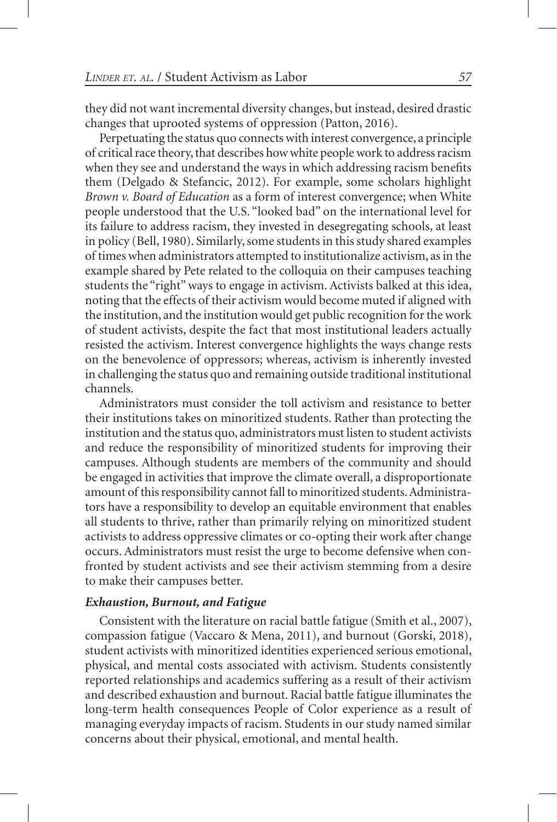they did not want incremental diversity changes, but instead, desired drastic changes that uprooted systems of oppression (Patton, 2016).

Perpetuating the status quo connects with interest convergence, a principle of critical race theory, that describes how white people work to address racism when they see and understand the ways in which addressing racism benefits them (Delgado & Stefancic, 2012). For example, some scholars highlight *Brown v. Board of Education* as a form of interest convergence; when White people understood that the U.S. "looked bad" on the international level for its failure to address racism, they invested in desegregating schools, at least in policy (Bell, 1980). Similarly, some students in this study shared examples of times when administrators attempted to institutionalize activism, as in the example shared by Pete related to the colloquia on their campuses teaching students the "right" ways to engage in activism. Activists balked at this idea, noting that the effects of their activism would become muted if aligned with the institution, and the institution would get public recognition for the work of student activists, despite the fact that most institutional leaders actually resisted the activism. Interest convergence highlights the ways change rests on the benevolence of oppressors; whereas, activism is inherently invested in challenging the status quo and remaining outside traditional institutional channels.

Administrators must consider the toll activism and resistance to better their institutions takes on minoritized students. Rather than protecting the institution and the status quo, administrators must listen to student activists and reduce the responsibility of minoritized students for improving their campuses. Although students are members of the community and should be engaged in activities that improve the climate overall, a disproportionate amount of this responsibility cannot fall to minoritized students. Administrators have a responsibility to develop an equitable environment that enables all students to thrive, rather than primarily relying on minoritized student activists to address oppressive climates or co-opting their work after change occurs. Administrators must resist the urge to become defensive when confronted by student activists and see their activism stemming from a desire to make their campuses better.

## *Exhaustion, Burnout, and Fatigue*

Consistent with the literature on racial battle fatigue (Smith et al., 2007), compassion fatigue (Vaccaro & Mena, 2011), and burnout (Gorski, 2018), student activists with minoritized identities experienced serious emotional, physical, and mental costs associated with activism. Students consistently reported relationships and academics suffering as a result of their activism and described exhaustion and burnout. Racial battle fatigue illuminates the long-term health consequences People of Color experience as a result of managing everyday impacts of racism. Students in our study named similar concerns about their physical, emotional, and mental health.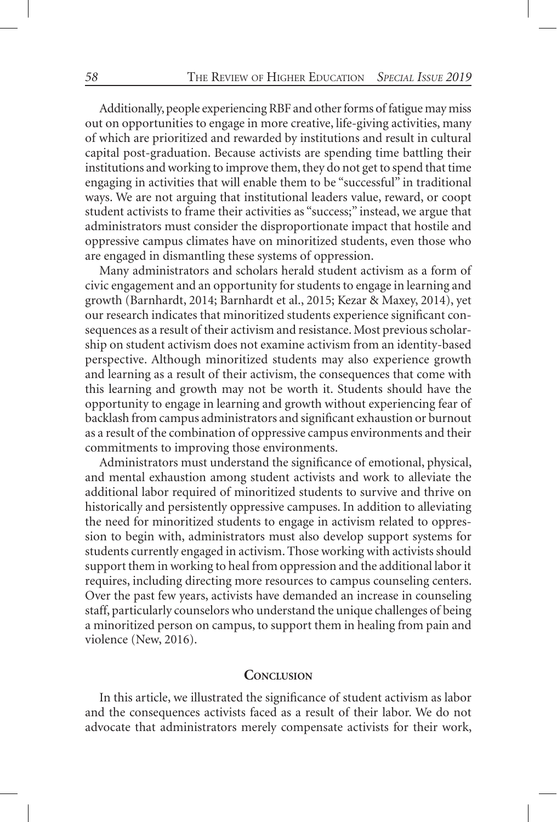Additionally, people experiencing RBF and other forms of fatigue may miss out on opportunities to engage in more creative, life-giving activities, many of which are prioritized and rewarded by institutions and result in cultural capital post-graduation. Because activists are spending time battling their institutions and working to improve them, they do not get to spend that time engaging in activities that will enable them to be "successful" in traditional ways. We are not arguing that institutional leaders value, reward, or coopt student activists to frame their activities as "success;" instead, we argue that administrators must consider the disproportionate impact that hostile and oppressive campus climates have on minoritized students, even those who are engaged in dismantling these systems of oppression.

Many administrators and scholars herald student activism as a form of civic engagement and an opportunity for students to engage in learning and growth (Barnhardt, 2014; Barnhardt et al., 2015; Kezar & Maxey, 2014), yet our research indicates that minoritized students experience significant consequences as a result of their activism and resistance. Most previous scholarship on student activism does not examine activism from an identity-based perspective. Although minoritized students may also experience growth and learning as a result of their activism, the consequences that come with this learning and growth may not be worth it. Students should have the opportunity to engage in learning and growth without experiencing fear of backlash from campus administrators and significant exhaustion or burnout as a result of the combination of oppressive campus environments and their commitments to improving those environments.

Administrators must understand the significance of emotional, physical, and mental exhaustion among student activists and work to alleviate the additional labor required of minoritized students to survive and thrive on historically and persistently oppressive campuses. In addition to alleviating the need for minoritized students to engage in activism related to oppression to begin with, administrators must also develop support systems for students currently engaged in activism. Those working with activists should support them in working to heal from oppression and the additional labor it requires, including directing more resources to campus counseling centers. Over the past few years, activists have demanded an increase in counseling staff, particularly counselors who understand the unique challenges of being a minoritized person on campus, to support them in healing from pain and violence (New, 2016).

### **Conclusion**

In this article, we illustrated the significance of student activism as labor and the consequences activists faced as a result of their labor. We do not advocate that administrators merely compensate activists for their work,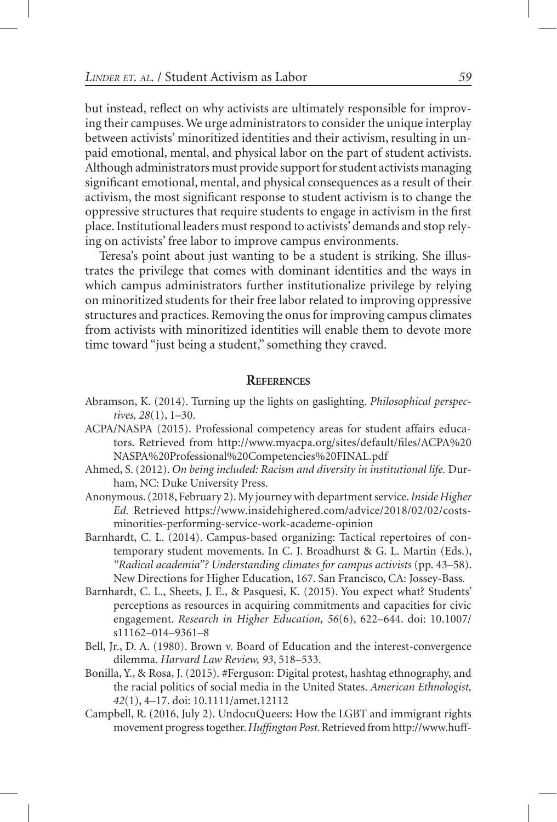but instead, reflect on why activists are ultimately responsible for improving their campuses. We urge administrators to consider the unique interplay between activists' minoritized identities and their activism, resulting in unpaid emotional, mental, and physical labor on the part of student activists. Although administrators must provide support for student activists managing significant emotional, mental, and physical consequences as a result of their activism, the most significant response to student activism is to change the oppressive structures that require students to engage in activism in the first place. Institutional leaders must respond to activists' demands and stop relying on activists' free labor to improve campus environments.

Teresa's point about just wanting to be a student is striking. She illustrates the privilege that comes with dominant identities and the ways in which campus administrators further institutionalize privilege by relying on minoritized students for their free labor related to improving oppressive structures and practices. Removing the onus for improving campus climates from activists with minoritized identities will enable them to devote more time toward "just being a student," something they craved.

#### **References**

- Abramson, K. (2014). Turning up the lights on gaslighting. *Philosophical perspectives, 28*(1), 1–30.
- ACPA/NASPA (2015). Professional competency areas for student affairs educators. Retrieved from http://www.myacpa.org/sites/default/files/ACPA%20 NASPA%20Professional%20Competencies%20FINAL.pdf
- Ahmed, S. (2012). *On being included: Racism and diversity in institutional life.* Durham, NC: Duke University Press.
- Anonymous. (2018, February 2). My journey with department service. *Inside Higher Ed.* Retrieved https://www.insidehighered.com/advice/2018/02/02/costsminorities-performing-service-work-academe-opinion
- Barnhardt, C. L. (2014). Campus-based organizing: Tactical repertoires of contemporary student movements. In C. J. Broadhurst & G. L. Martin (Eds.), *"Radical academia"? Understanding climates for campus activists* (pp. 43–58). New Directions for Higher Education, 167. San Francisco, CA: Jossey-Bass.
- Barnhardt, C. L., Sheets, J. E., & Pasquesi, K. (2015). You expect what? Students' perceptions as resources in acquiring commitments and capacities for civic engagement. *Research in Higher Education, 56*(6), 622–644. doi: 10.1007/ s11162–014–9361–8
- Bell, Jr., D. A. (1980). Brown v. Board of Education and the interest-convergence dilemma. *Harvard Law Review, 93*, 518–533.
- Bonilla, Y., & Rosa, J. (2015). #Ferguson: Digital protest, hashtag ethnography, and the racial politics of social media in the United States. *American Ethnologist, 42*(1), 4–17. doi: 10.1111/amet.12112
- Campbell, R. (2016, July 2). UndocuQueers: How the LGBT and immigrant rights movement progress together. *Huffington Post*. Retrieved from http://www.huff-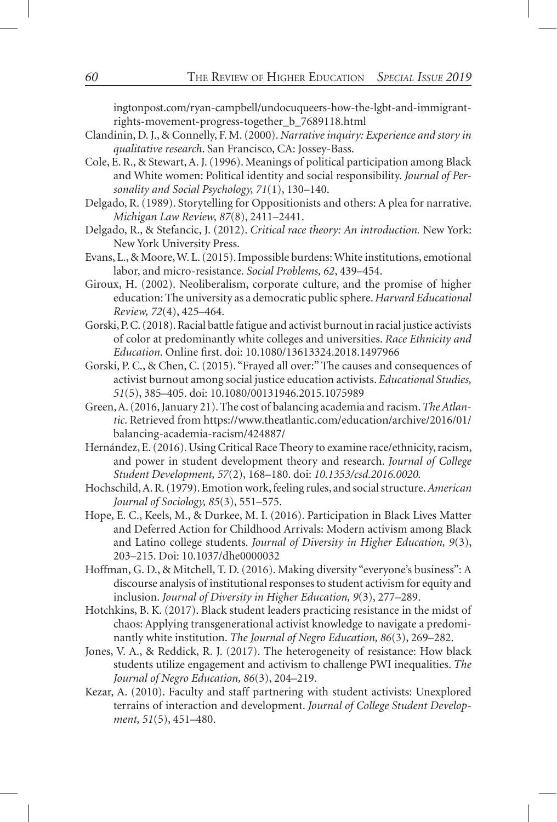ingtonpost.com/ryan-campbell/undocuqueers-how-the-lgbt-and-immigrantrights-movement-progress-together\_b\_7689118.html

- Clandinin, D. J., & Connelly, F. M. (2000). *Narrative inquiry: Experience and story in qualitative research*. San Francisco, CA: Jossey-Bass.
- Cole, E. R., & Stewart, A. J. (1996). Meanings of political participation among Black and White women: Political identity and social responsibility. *Journal of Personality and Social Psychology, 71*(1), 130–140.
- Delgado, R. (1989). Storytelling for Oppositionists and others: A plea for narrative. *Michigan Law Review, 87*(8), 2411–2441.
- Delgado, R., & Stefancic, J. (2012). *Critical race theory: An introduction.* New York: New York University Press.
- Evans, L., & Moore, W. L. (2015). Impossible burdens: White institutions, emotional labor, and micro-resistance. *Social Problems, 62*, 439–454.
- Giroux, H. (2002). Neoliberalism, corporate culture, and the promise of higher education: The university as a democratic public sphere. *Harvard Educational Review, 72*(4), 425–464.
- Gorski, P. C. (2018). Racial battle fatigue and activist burnout in racial justice activists of color at predominantly white colleges and universities. *Race Ethnicity and Education*. Online first. doi: 10.1080/13613324.2018.1497966
- Gorski, P. C., & Chen, C. (2015). "Frayed all over:" The causes and consequences of activist burnout among social justice education activists. *Educational Studies, 51*(5), 385–405. doi: 10.1080/00131946.2015.1075989
- Green, A. (2016, January 21). The cost of balancing academia and racism. *The Atlantic*. Retrieved from https://www.theatlantic.com/education/archive/2016/01/ balancing-academia-racism/424887/
- Hernández, E. (2016). Using Critical Race Theory to examine race/ethnicity, racism, and power in student development theory and research. *Journal of College Student Development, 57*(2), 168–180. doi: *10.1353/csd.2016.0020.*
- Hochschild, A. R. (1979). Emotion work, feeling rules, and social structure. *American Journal of Sociology, 85*(3), 551–575.
- Hope, E. C., Keels, M., & Durkee, M. I. (2016). Participation in Black Lives Matter and Deferred Action for Childhood Arrivals: Modern activism among Black and Latino college students. *Journal of Diversity in Higher Education, 9*(3), 203–215. Doi: 10.1037/dhe0000032
- Hoffman, G. D., & Mitchell, T. D. (2016). Making diversity "everyone's business": A discourse analysis of institutional responses to student activism for equity and inclusion. *Journal of Diversity in Higher Education, 9*(3), 277–289.
- Hotchkins, B. K. (2017). Black student leaders practicing resistance in the midst of chaos: Applying transgenerational activist knowledge to navigate a predominantly white institution. *The Journal of Negro Education, 86*(3), 269–282.
- Jones, V. A., & Reddick, R. J. (2017). The heterogeneity of resistance: How black students utilize engagement and activism to challenge PWI inequalities. *The Journal of Negro Education, 86*(3), 204–219.
- Kezar, A. (2010). Faculty and staff partnering with student activists: Unexplored terrains of interaction and development. *Journal of College Student Development, 51*(5), 451–480.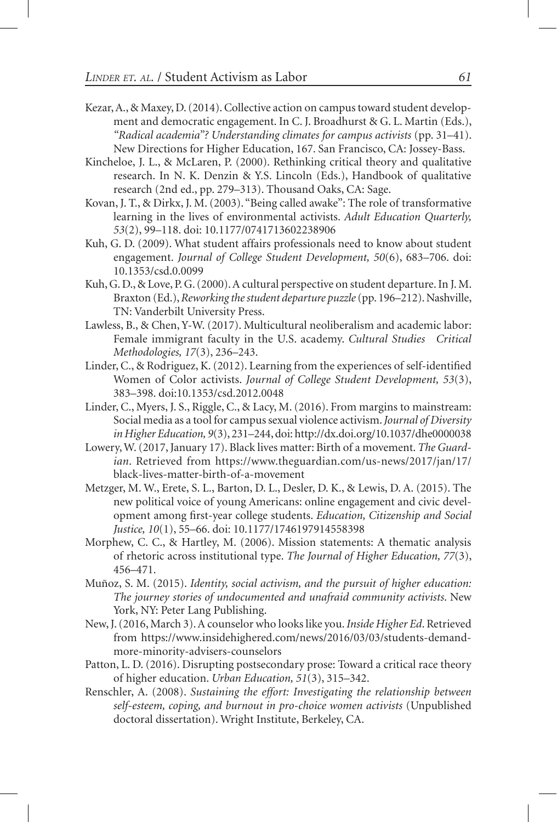- Kezar, A., & Maxey, D. (2014). Collective action on campus toward student development and democratic engagement. In C. J. Broadhurst & G. L. Martin (Eds.), *"Radical academia"? Understanding climates for campus activists* (pp. 31–41). New Directions for Higher Education, 167. San Francisco, CA: Jossey-Bass.
- Kincheloe, J. L., & McLaren, P. (2000). Rethinking critical theory and qualitative research. In N. K. Denzin & Y.S. Lincoln (Eds.), Handbook of qualitative research (2nd ed., pp. 279–313). Thousand Oaks, CA: Sage.
- Kovan, J. T., & Dirkx, J. M. (2003). "Being called awake": The role of transformative learning in the lives of environmental activists. *Adult Education Quarterly, 53*(2), 99–118. doi: 10.1177/0741713602238906
- Kuh, G. D. (2009). What student affairs professionals need to know about student engagement. *Journal of College Student Development, 50*(6), 683–706. doi: 10.1353/csd.0.0099
- Kuh, G. D., & Love, P. G. (2000). A cultural perspective on student departure. In J. M. Braxton (Ed.), *Reworking the student departure puzzle* (pp. 196–212). Nashville, TN: Vanderbilt University Press.
- Lawless, B., & Chen, Y-W. (2017). Multicultural neoliberalism and academic labor: Female immigrant faculty in the U.S. academy. *Cultural Studies Critical Methodologies, 17*(3), 236–243.
- Linder, C., & Rodriguez, K. (2012). Learning from the experiences of self-identified Women of Color activists. *Journal of College Student Development, 53*(3), 383–398. doi:10.1353/csd.2012.0048
- Linder, C., Myers, J. S., Riggle, C., & Lacy, M. (2016). From margins to mainstream: Social media as a tool for campus sexual violence activism. *Journal of Diversity in Higher Education, 9*(3), 231–244, doi: http://dx.doi.org/10.1037/dhe0000038
- Lowery, W. (2017, January 17). Black lives matter: Birth of a movement. *The Guardian*. Retrieved from https://www.theguardian.com/us-news/2017/jan/17/ black-lives-matter-birth-of-a-movement
- Metzger, M. W., Erete, S. L., Barton, D. L., Desler, D. K., & Lewis, D. A. (2015). The new political voice of young Americans: online engagement and civic development among first-year college students. *Education, Citizenship and Social Justice, 10*(1), 55–66. doi: 10.1177/1746197914558398
- Morphew, C. C., & Hartley, M. (2006). Mission statements: A thematic analysis of rhetoric across institutional type. *The Journal of Higher Education, 77*(3), 456–471.
- Muñoz, S. M. (2015). *Identity, social activism, and the pursuit of higher education: The journey stories of undocumented and unafraid community activists*. New York, NY: Peter Lang Publishing.
- New, J. (2016, March 3). A counselor who looks like you. *Inside Higher Ed*. Retrieved from https://www.insidehighered.com/news/2016/03/03/students-demandmore-minority-advisers-counselors
- Patton, L. D. (2016). Disrupting postsecondary prose: Toward a critical race theory of higher education. *Urban Education, 51*(3), 315–342.
- Renschler, A. (2008). *Sustaining the effort: Investigating the relationship between self-esteem, coping, and burnout in pro-choice women activists* (Unpublished doctoral dissertation). Wright Institute, Berkeley, CA.